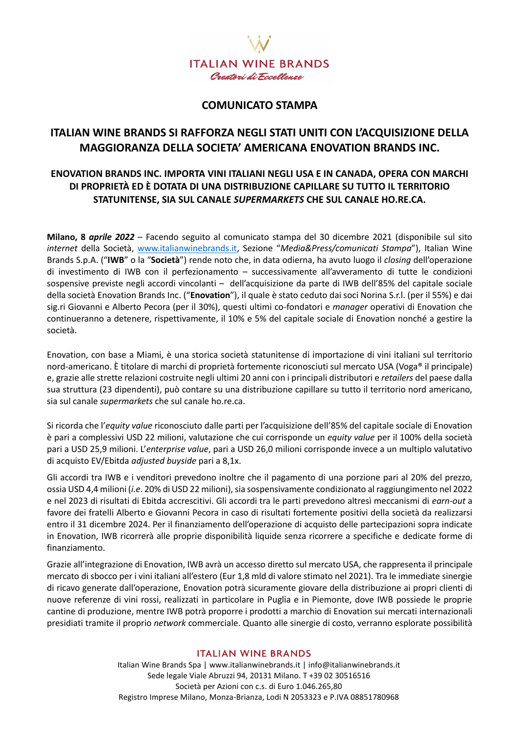

### **COMUNICATO STAMPA**

# **ITALIAN WINE BRANDS SI RAFFORZA NEGLI STATI UNITI CON L'ACQUISIZIONE DELLA MAGGIORANZA DELLA SOCIETA' AMERICANA ENOVATION BRANDS INC.**

### **ENOVATION BRANDS INC. IMPORTA VINI ITALIANI NEGLI USA E IN CANADA, OPERA CON MARCHI DI PROPRIETÀ ED È DOTATA DI UNA DISTRIBUZIONE CAPILLARE SU TUTTO IL TERRITORIO STATUNITENSE, SIA SUL CANALE** *SUPERMARKETS* **CHE SUL CANALE HO.RE.CA.**

**Milano, 8** *aprile 2022* – Facendo seguito al comunicato stampa del 30 dicembre 2021 (disponibile sul sito *internet* della Società, [www.italianwinebrands.it,](http://www.italianwinebrands.it/) Sezione "*Media&Press/comunicati Stampa*"), Italian Wine Brands S.p.A. ("**IWB**" o la "**Società**") rende noto che, in data odierna, ha avuto luogo il *closing* dell'operazione di investimento di IWB con il perfezionamento – successivamente all'avveramento di tutte le condizioni sospensive previste negli accordi vincolanti – dell'acquisizione da parte di IWB dell'85% del capitale sociale della società Enovation Brands Inc. ("**Enovation**"), il quale è stato ceduto dai soci Norina S.r.l. (per il 55%) e dai sig.ri Giovanni e Alberto Pecora (per il 30%), questi ultimi co-fondatori e *manager* operativi di Enovation che continueranno a detenere, rispettivamente, il 10% e 5% del capitale sociale di Enovation nonché a gestire la società.

Enovation, con base a Miami, è una storica società statunitense di importazione di vini italiani sul territorio nord-americano. È titolare di marchi di proprietà fortemente riconosciuti sul mercato USA (Voga® il principale) e, grazie alle strette relazioni costruite negli ultimi 20 anni con i principali distributori e *retailers* del paese dalla sua struttura (23 dipendenti), può contare su una distribuzione capillare su tutto il territorio nord americano, sia sul canale *supermarkets* che sul canale ho.re.ca.

Si ricorda che l'*equity value* riconosciuto dalle parti per l'acquisizione dell'85% del capitale sociale di Enovation è pari a complessivi USD 22 milioni, valutazione che cui corrisponde un *equity value* per il 100% della società pari a USD 25,9 milioni. L'*enterprise value*, pari a USD 26,0 milioni corrisponde invece a un multiplo valutativo di acquisto EV/Ebitda *adjusted buyside* pari a 8,1x.

Gli accordi tra IWB e i venditori prevedono inoltre che il pagamento di una porzione pari al 20% del prezzo, ossia USD 4,4 milioni (i.e. 20% di USD 22 milioni), sia sospensivamente condizionato al raggiungimento nel 2022 e nel 2023 di risultati di Ebitda accrescitivi. Gli accordi tra le parti prevedono altresì meccanismi di *earn-out* a favore dei fratelli Alberto e Giovanni Pecora in caso di risultati fortemente positivi della società da realizzarsi entro il 31 dicembre 2024. Per il finanziamento dell'operazione di acquisto delle partecipazioni sopra indicate in Enovation, IWB ricorrerà alle proprie disponibilità liquide senza ricorrere a specifiche e dedicate forme di finanziamento.

Grazie all'integrazione di Enovation, IWB avrà un accesso diretto sul mercato USA, che rappresenta il principale mercato di sbocco per i vini italiani all'estero (Eur 1,8 mld di valore stimato nel 2021). Tra le immediate sinergie di ricavo generate dall'operazione, Enovation potrà sicuramente giovare della distribuzione ai propri clienti di nuove referenze di vini rossi, realizzati in particolare in Puglia e in Piemonte, dove IWB possiede le proprie cantine di produzione, mentre IWB potrà proporre i prodotti a marchio di Enovation sui mercati internazionali presidiati tramite il proprio *network* commerciale. Quanto alle sinergie di costo, verranno esplorate possibilità

### **ITALIAN WINE BRANDS**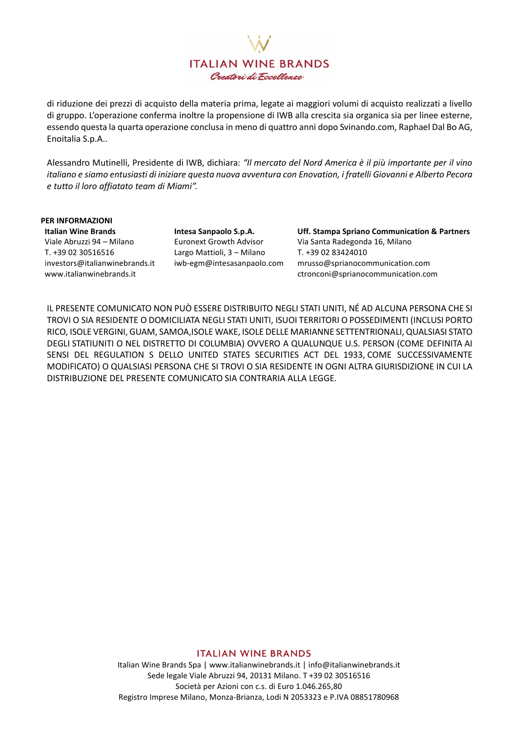**ITALIAN WINE BRANDS** Creatori di Fecellenze

di riduzione dei prezzi di acquisto della materia prima, legate ai maggiori volumi di acquisto realizzati a livello di gruppo. L'operazione conferma inoltre la propensione di IWB alla crescita sia organica sia per linee esterne, essendo questa la quarta operazione conclusa in meno di quattro anni dopo Svinando.com, Raphael Dal Bo AG, Enoitalia S.p.A..

Alessandro Mutinelli, Presidente di IWB, dichiara: *"Il mercato del Nord America è il più importante per il vino italiano e siamo entusiasti di iniziare questa nuova avventura con Enovation, i fratelli Giovanni e Alberto Pecora e tutto il loro affiatato team di Miami".*

**PER INFORMAZIONI** Viale Abruzzi 94 – Milano Euronext Growth Advisor Via Santa Radegonda 16, Milano T. +39 02 30516516 Largo Mattioli, 3 – Milano T. +39 02 83424010 [investors@italianwinebrands.it](mailto:investors@madeinitaly1.net) [www.italianwinebrands.it](http://www.italianwinebrands.it/)

**Italian Wine Brands Intesa Sanpaolo S.p.A. Uff. Stampa Spriano Communication & Partners** iwb-egm@intesasanpaolo.com [mrusso@sprianocommunication.com](mailto:mrusso@sprianocommunication.com) [ctronconi@sprianocommunication.com](mailto:ctronconi@sprianocommunication.com)

IL PRESENTE COMUNICATO NON PUÒ ESSERE DISTRIBUITO NEGLI STATI UNITI, NÉ AD ALCUNA PERSONA CHE SI TROVI O SIA RESIDENTE O DOMICILIATA NEGLI STATI UNITI, ISUOI TERRITORI O POSSEDIMENTI (INCLUSI PORTO RICO, ISOLE VERGINI, GUAM, SAMOA,ISOLE WAKE, ISOLE DELLE MARIANNE SETTENTRIONALI,QUALSIASI STATO DEGLI STATIUNITI O NEL DISTRETTO DI COLUMBIA) OVVERO A QUALUNQUE U.S. PERSON (COME DEFINITA AI SENSI DEL REGULATION S DELLO UNITED STATES SECURITIES ACT DEL 1933, COME SUCCESSIVAMENTE MODIFICATO) O QUALSIASI PERSONA CHE SI TROVI O SIA RESIDENTE IN OGNI ALTRA GIURISDIZIONE IN CUI LA DISTRIBUZIONE DEL PRESENTE COMUNICATO SIA CONTRARIA ALLA LEGGE.

### **ITALIAN WINE BRANDS**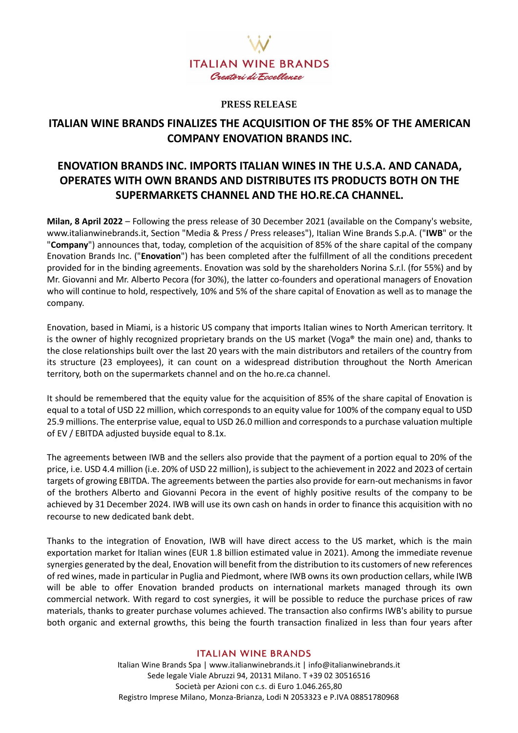

### **PRESS RELEASE**

# **ITALIAN WINE BRANDS FINALIZES THE ACQUISITION OF THE 85% OF THE AMERICAN COMPANY ENOVATION BRANDS INC.**

# **ENOVATION BRANDS INC. IMPORTS ITALIAN WINES IN THE U.S.A. AND CANADA, OPERATES WITH OWN BRANDS AND DISTRIBUTES ITS PRODUCTS BOTH ON THE SUPERMARKETS CHANNEL AND THE HO.RE.CA CHANNEL.**

**Milan, 8 April 2022** – Following the press release of 30 December 2021 (available on the Company's website, www.italianwinebrands.it, Section "Media & Press / Press releases"), Italian Wine Brands S.p.A. ("**IWB**" or the "**Company**") announces that, today, completion of the acquisition of 85% of the share capital of the company Enovation Brands Inc. ("**Enovation**") has been completed after the fulfillment of all the conditions precedent provided for in the binding agreements. Enovation was sold by the shareholders Norina S.r.l. (for 55%) and by Mr. Giovanni and Mr. Alberto Pecora (for 30%), the latter co-founders and operational managers of Enovation who will continue to hold, respectively, 10% and 5% of the share capital of Enovation as well as to manage the company.

Enovation, based in Miami, is a historic US company that imports Italian wines to North American territory. It is the owner of highly recognized proprietary brands on the US market (Voga® the main one) and, thanks to the close relationships built over the last 20 years with the main distributors and retailers of the country from its structure (23 employees), it can count on a widespread distribution throughout the North American territory, both on the supermarkets channel and on the ho.re.ca channel.

It should be remembered that the equity value for the acquisition of 85% of the share capital of Enovation is equal to a total of USD 22 million, which corresponds to an equity value for 100% of the company equal to USD 25.9 millions. The enterprise value, equal to USD 26.0 million and corresponds to a purchase valuation multiple of EV / EBITDA adjusted buyside equal to 8.1x.

The agreements between IWB and the sellers also provide that the payment of a portion equal to 20% of the price, i.e. USD 4.4 million (i.e. 20% of USD 22 million), is subject to the achievement in 2022 and 2023 of certain targets of growing EBITDA. The agreements between the parties also provide for earn-out mechanisms in favor of the brothers Alberto and Giovanni Pecora in the event of highly positive results of the company to be achieved by 31 December 2024. IWB will use its own cash on hands in order to finance this acquisition with no recourse to new dedicated bank debt.

Thanks to the integration of Enovation, IWB will have direct access to the US market, which is the main exportation market for Italian wines (EUR 1.8 billion estimated value in 2021). Among the immediate revenue synergies generated by the deal, Enovation will benefit from the distribution to its customers of new references of red wines, made in particular in Puglia and Piedmont, where IWB owns its own production cellars, while IWB will be able to offer Enovation branded products on international markets managed through its own commercial network. With regard to cost synergies, it will be possible to reduce the purchase prices of raw materials, thanks to greater purchase volumes achieved. The transaction also confirms IWB's ability to pursue both organic and external growths, this being the fourth transaction finalized in less than four years after

#### **ITALIAN WINE BRANDS**